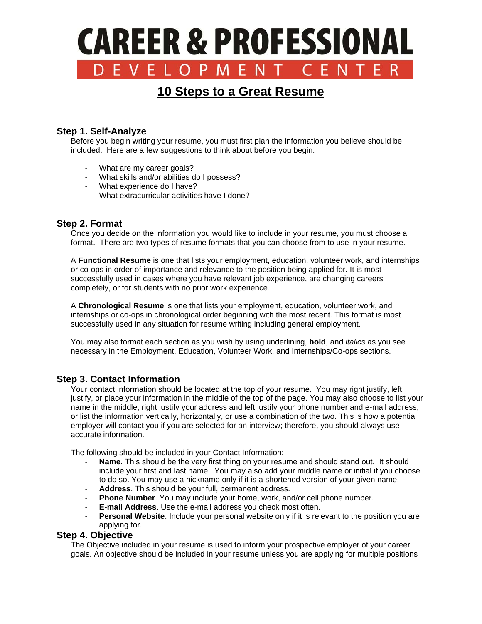# **CAREER & PROFESSIONAL** DEVELOP CFNTFR

# **10 Steps to a Great Resume**

# **Step 1. Self-Analyze**

 Before you begin writing your resume, you must first plan the information you believe should be included. Here are a few suggestions to think about before you begin:

- What are my career goals?
- What skills and/or abilities do I possess?
- What experience do I have?
- What extracurricular activities have I done?

#### **Step 2. Format**

Once you decide on the information you would like to include in your resume, you must choose a format. There are two types of resume formats that you can choose from to use in your resume.

 A **Functional Resume** is one that lists your employment, education, volunteer work, and internships or co-ops in order of importance and relevance to the position being applied for. It is most successfully used in cases where you have relevant job experience, are changing careers completely, or for students with no prior work experience.

 A **Chronological Resume** is one that lists your employment, education, volunteer work, and internships or co-ops in chronological order beginning with the most recent. This format is most successfully used in any situation for resume writing including general employment.

 You may also format each section as you wish by using underlining, **bold**, and *italics* as you see necessary in the Employment, Education, Volunteer Work, and Internships/Co-ops sections.

# **Step 3. Contact Information**

 Your contact information should be located at the top of your resume. You may right justify, left justify, or place your information in the middle of the top of the page. You may also choose to list your name in the middle, right justify your address and left justify your phone number and e-mail address, or list the information vertically, horizontally, or use a combination of the two. This is how a potential employer will contact you if you are selected for an interview; therefore, you should always use accurate information.

The following should be included in your Contact Information:

- Name. This should be the very first thing on your resume and should stand out. It should include your first and last name. You may also add your middle name or initial if you choose to do so. You may use a nickname only if it is a shortened version of your given name.
- Address. This should be your full, permanent address.
- Phone Number. You may include your home, work, and/or cell phone number.
- **E-mail Address**. Use the e-mail address you check most often.
- Personal Website. Include your personal website only if it is relevant to the position you are applying for.

#### **Step 4. Objective**

 The Objective included in your resume is used to inform your prospective employer of your career goals. An objective should be included in your resume unless you are applying for multiple positions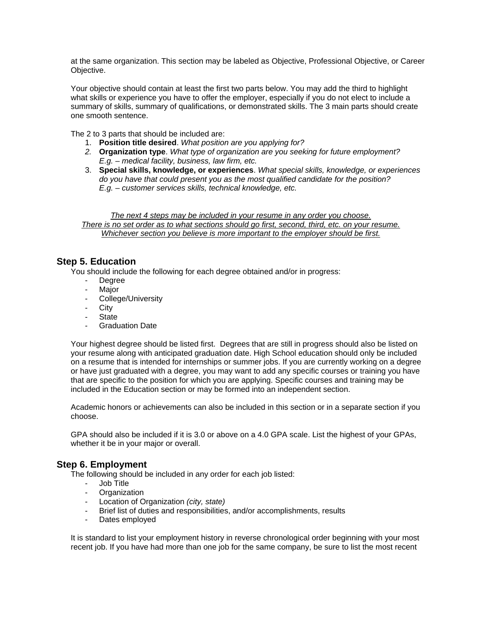at the same organization. This section may be labeled as Objective, Professional Objective, or Career Objective.

 Your objective should contain at least the first two parts below. You may add the third to highlight what skills or experience you have to offer the employer, especially if you do not elect to include a summary of skills, summary of qualifications, or demonstrated skills. The 3 main parts should create one smooth sentence.

The 2 to 3 parts that should be included are:

- 1. **Position title desired**. *What position are you applying for?*
- *2.* **Organization type**. *What type of organization are you seeking for future employment? E.g. – medical facility, business, law firm, etc.*
- 3. **Special skills, knowledge, or experiences**. *What special skills, knowledge, or experiences do you have that could present you as the most qualified candidate for the position? E.g. – customer services skills, technical knowledge, etc.*

*The next 4 steps may be included in your resume in any order you choose. There is no set order as to what sections should go first, second, third, etc. on your resume. Whichever section you believe is more important to the employer should be first.* 

# **Step 5. Education**

You should include the following for each degree obtained and/or in progress:

- Degree
- Major
- College/University<br>- City
- **City**
- State
- Graduation Date

Your highest degree should be listed first. Degrees that are still in progress should also be listed on your resume along with anticipated graduation date. High School education should only be included on a resume that is intended for internships or summer jobs. If you are currently working on a degree or have just graduated with a degree, you may want to add any specific courses or training you have that are specific to the position for which you are applying. Specific courses and training may be included in the Education section or may be formed into an independent section.

 Academic honors or achievements can also be included in this section or in a separate section if you choose.

 GPA should also be included if it is 3.0 or above on a 4.0 GPA scale. List the highest of your GPAs, whether it be in your major or overall.

# **Step 6. Employment**

The following should be included in any order for each job listed:

- Job Title
- Organization
- Location of Organization *(city, state)*
- Brief list of duties and responsibilities, and/or accomplishments, results
- Dates employed

It is standard to list your employment history in reverse chronological order beginning with your most recent job. If you have had more than one job for the same company, be sure to list the most recent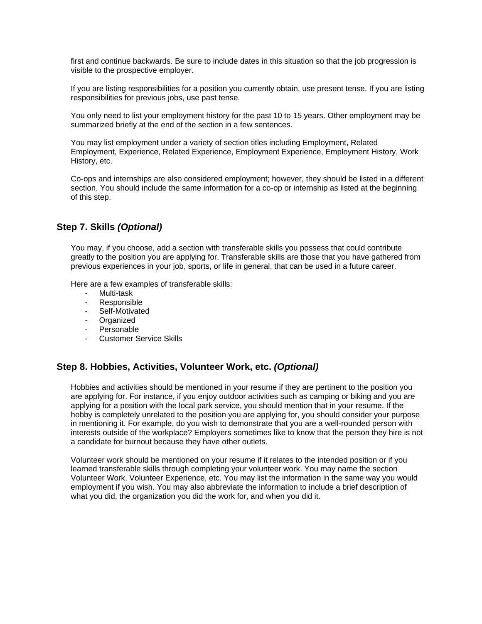first and continue backwards. Be sure to include dates in this situation so that the job progression is visible to the prospective employer.

If you are listing responsibilities for a position you currently obtain, use present tense. If you are listing responsibilities for previous jobs, use past tense.

You only need to list your employment history for the past 10 to 15 years. Other employment may be summarized briefly at the end of the section in a few sentences.

You may list employment under a variety of section titles including Employment, Related Employment, Experience, Related Experience, Employment Experience, Employment History, Work History, etc.

Co-ops and internships are also considered employment; however, they should be listed in a different section. You should include the same information for a co-op or internship as listed at the beginning of this step.

# **Step 7. Skills** *(Optional)*

You may, if you choose, add a section with transferable skills you possess that could contribute greatly to the position you are applying for. Transferable skills are those that you have gathered from previous experiences in your job, sports, or life in general, that can be used in a future career.

Here are a few examples of transferable skills:

- Multi-task
- Responsible
- Self-Motivated
- Organized
- Personable
- Customer Service Skills

# **Step 8. Hobbies, Activities, Volunteer Work, etc.** *(Optional)*

Hobbies and activities should be mentioned in your resume if they are pertinent to the position you are applying for. For instance, if you enjoy outdoor activities such as camping or biking and you are applying for a position with the local park service, you should mention that in your resume. If the hobby is completely unrelated to the position you are applying for, you should consider your purpose in mentioning it. For example, do you wish to demonstrate that you are a well-rounded person with interests outside of the workplace? Employers sometimes like to know that the person they hire is not a candidate for burnout because they have other outlets.

Volunteer work should be mentioned on your resume if it relates to the intended position or if you learned transferable skills through completing your volunteer work. You may name the section Volunteer Work, Volunteer Experience, etc. You may list the information in the same way you would employment if you wish. You may also abbreviate the information to include a brief description of what you did, the organization you did the work for, and when you did it.